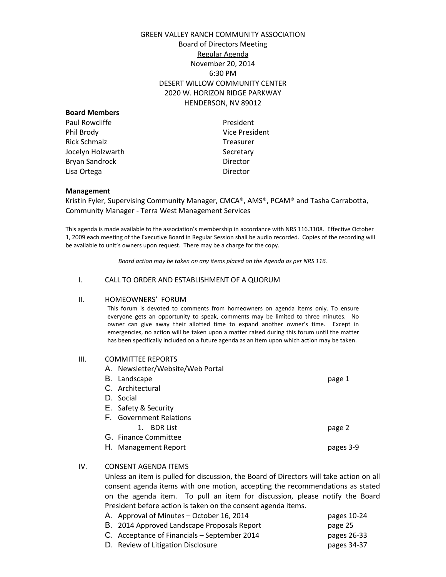# GREEN VALLEY RANCH COMMUNITY ASSOCIATION Board of Directors Meeting Regular Agenda November 20, 2014 6:30 PM DESERT WILLOW COMMUNITY CENTER 2020 W. HORIZON RIDGE PARKWAY HENDERSON, NV 89012

| <b>Board Members</b> |                       |
|----------------------|-----------------------|
| Paul Rowcliffe       | President             |
| Phil Brody           | <b>Vice President</b> |
| <b>Rick Schmalz</b>  | <b>Treasurer</b>      |
| Jocelyn Holzwarth    | Secretary             |
| Bryan Sandrock       | Director              |
| Lisa Ortega          | Director              |
|                      |                       |

### **Management**

Kristin Fyler, Supervising Community Manager, CMCA®, AMS®, PCAM® and Tasha Carrabotta, Community Manager - Terra West Management Services

This agenda is made available to the association's membership in accordance with NRS 116.3108. Effective October 1, 2009 each meeting of the Executive Board in Regular Session shall be audio recorded. Copies of the recording will be available to unit's owners upon request. There may be a charge for the copy.

*Board action may be taken on any items placed on the Agenda as per NRS 116.*

### I. CALL TO ORDER AND ESTABLISHMENT OF A QUORUM

#### II. HOMEOWNERS' FORUM

This forum is devoted to comments from homeowners on agenda items only. To ensure everyone gets an opportunity to speak, comments may be limited to three minutes. No owner can give away their allotted time to expand another owner's time. Except in emergencies, no action will be taken upon a matter raised during this forum until the matter has been specifically included on a future agenda as an item upon which action may be taken.

| III. | <b>COMMITTEE REPORTS</b>         |           |
|------|----------------------------------|-----------|
|      | A. Newsletter/Website/Web Portal |           |
|      | B. Landscape                     | page 1    |
|      | C. Architectural                 |           |
|      | D. Social                        |           |
|      | E. Safety & Security             |           |
|      | F. Government Relations          |           |
|      | <b>BDR List</b><br>1.            | page 2    |
|      | G. Finance Committee             |           |
|      | H. Management Report             | pages 3-9 |
|      |                                  |           |

### IV. CONSENT AGENDA ITEMS

Unless an item is pulled for discussion, the Board of Directors will take action on all consent agenda items with one motion, accepting the recommendations as stated on the agenda item. To pull an item for discussion, please notify the Board President before action is taken on the consent agenda items.

| A. Approval of Minutes – October 16, 2014    | pages 10-24 |
|----------------------------------------------|-------------|
| B. 2014 Approved Landscape Proposals Report  | page 25     |
| C. Acceptance of Financials – September 2014 | pages 26-33 |
| D. Review of Litigation Disclosure           | pages 34-37 |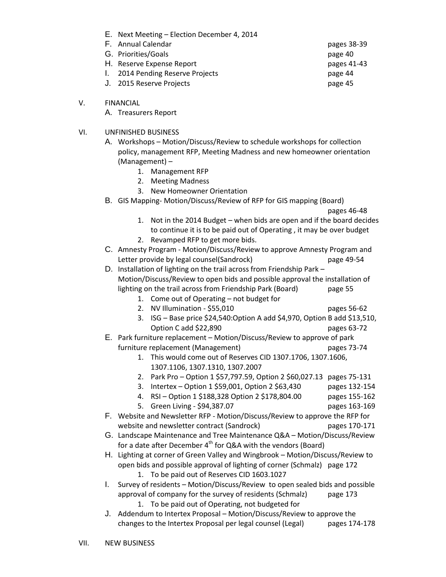- E. Next Meeting Election December 4, 2014
- F. Annual Calendar **F. Annual Calendar**
- G. Priorities/Goals **page 40** H. Reserve Expense Report **pages 41-43** I. 2014 Pending Reserve Projects page 44 J. 2015 Reserve Projects page 45
- V. FINANCIAL

A. Treasurers Report

# VI. UNFINISHED BUSINESS

- A. Workshops Motion/Discuss/Review to schedule workshops for collection policy, management RFP, Meeting Madness and new homeowner orientation (Management) –
	- 1. Management RFP
	- 2. Meeting Madness
	- 3. New Homeowner Orientation
- B. GIS Mapping- Motion/Discuss/Review of RFP for GIS mapping (Board)

pages 46-48

- 1. Not in the 2014 Budget when bids are open and if the board decides to continue it is to be paid out of Operating , it may be over budget
- 2. Revamped RFP to get more bids.
- C. Amnesty Program Motion/Discuss/Review to approve Amnesty Program and Letter provide by legal counsel(Sandrock) example the page 49-54
- D. Installation of lighting on the trail across from Friendship Park Motion/Discuss/Review to open bids and possible approval the installation of lighting on the trail across from Friendship Park (Board) page 55
	- 1. Come out of Operating not budget for
	- 2. NV Illumination \$55,010 pages 56-62
	- 3. ISG Base price \$24,540:Option A add \$4,970, Option B add \$13,510, Option C add \$22,890 pages 63-72
- E. Park furniture replacement Motion/Discuss/Review to approve of park furniture replacement (Management) pages 73-74
	- 1. This would come out of Reserves CID 1307.1706, 1307.1606, 1307.1106, 1307.1310, 1307.2007
	- 2. Park Pro Option 1 \$57,797.59, Option 2 \$60,027.13 pages 75-131
	- 3. Intertex Option 1 \$59,001, Option 2 \$63,430 pages 132-154
	- 4. RSI Option 1 \$188,328 Option 2 \$178,804.00 pages 155-162
	- 5. Green Living \$94,387.07 pages 163-169
- F. Website and Newsletter RFP Motion/Discuss/Review to approve the RFP for website and newsletter contract (Sandrock) pages 170-171
- G. Landscape Maintenance and Tree Maintenance Q&A Motion/Discuss/Review for a date after December  $4<sup>th</sup>$  for Q&A with the vendors (Board)
- H. Lighting at corner of Green Valley and Wingbrook Motion/Discuss/Review to open bids and possible approval of lighting of corner (Schmalz) page 172
	- 1. To be paid out of Reserves CID 1603.1027
- I. Survey of residents Motion/Discuss/Review to open sealed bids and possible approval of company for the survey of residents (Schmalz) page 173 1. To be paid out of Operating, not budgeted for
- J. Addendum to Intertex Proposal Motion/Discuss/Review to approve the changes to the Intertex Proposal per legal counsel (Legal) pages 174-178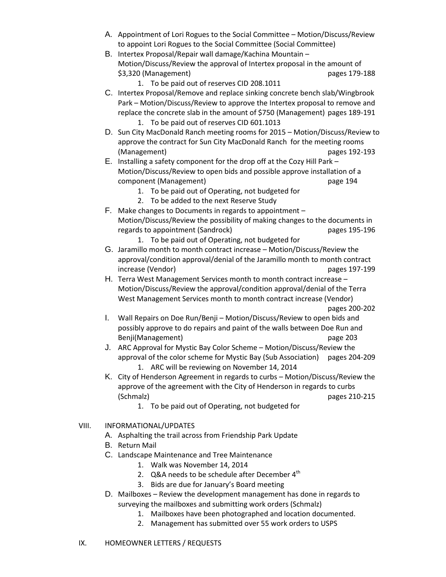- A. Appointment of Lori Rogues to the Social Committee Motion/Discuss/Review to appoint Lori Rogues to the Social Committee (Social Committee)
- B. Intertex Proposal/Repair wall damage/Kachina Mountain Motion/Discuss/Review the approval of Intertex proposal in the amount of \$3,320 (Management) pages 179-188
	- 1. To be paid out of reserves CID 208.1011
- C. Intertex Proposal/Remove and replace sinking concrete bench slab/Wingbrook Park – Motion/Discuss/Review to approve the Intertex proposal to remove and replace the concrete slab in the amount of \$750 (Management) pages 189-191 1. To be paid out of reserves CID 601.1013
- D. Sun City MacDonald Ranch meeting rooms for 2015 Motion/Discuss/Review to approve the contract for Sun City MacDonald Ranch for the meeting rooms (Management) pages 192-193
- E. Installing a safety component for the drop off at the Cozy Hill Park Motion/Discuss/Review to open bids and possible approve installation of a component (Management) page 194
	- 1. To be paid out of Operating, not budgeted for
	- 2. To be added to the next Reserve Study
- F. Make changes to Documents in regards to appointment Motion/Discuss/Review the possibility of making changes to the documents in regards to appointment (Sandrock) pages 195-196
	- 1. To be paid out of Operating, not budgeted for
- G. Jaramillo month to month contract increase Motion/Discuss/Review the approval/condition approval/denial of the Jaramillo month to month contract increase (Vendor) pages 197-199
- H. Terra West Management Services month to month contract increase Motion/Discuss/Review the approval/condition approval/denial of the Terra West Management Services month to month contract increase (Vendor)
	- pages 200-202
- I. Wall Repairs on Doe Run/Benji Motion/Discuss/Review to open bids and possibly approve to do repairs and paint of the walls between Doe Run and Benji(Management) page 203
- J. ARC Approval for Mystic Bay Color Scheme Motion/Discuss/Review the approval of the color scheme for Mystic Bay (Sub Association) pages 204-209 1. ARC will be reviewing on November 14, 2014
- K. City of Henderson Agreement in regards to curbs Motion/Discuss/Review the approve of the agreement with the City of Henderson in regards to curbs (Schmalz) pages 210-215
	- 1. To be paid out of Operating, not budgeted for

## VIII. INFORMATIONAL/UPDATES

- A. Asphalting the trail across from Friendship Park Update
- B. Return Mail
- C. Landscape Maintenance and Tree Maintenance
	- 1. Walk was November 14, 2014
	- 2.  $Q&A$  needs to be schedule after December  $4<sup>th</sup>$
	- 3. Bids are due for January's Board meeting
- D. Mailboxes Review the development management has done in regards to surveying the mailboxes and submitting work orders (Schmalz)
	- 1. Mailboxes have been photographed and location documented.
	- 2. Management has submitted over 55 work orders to USPS
- IX. HOMEOWNER LETTERS / REQUESTS